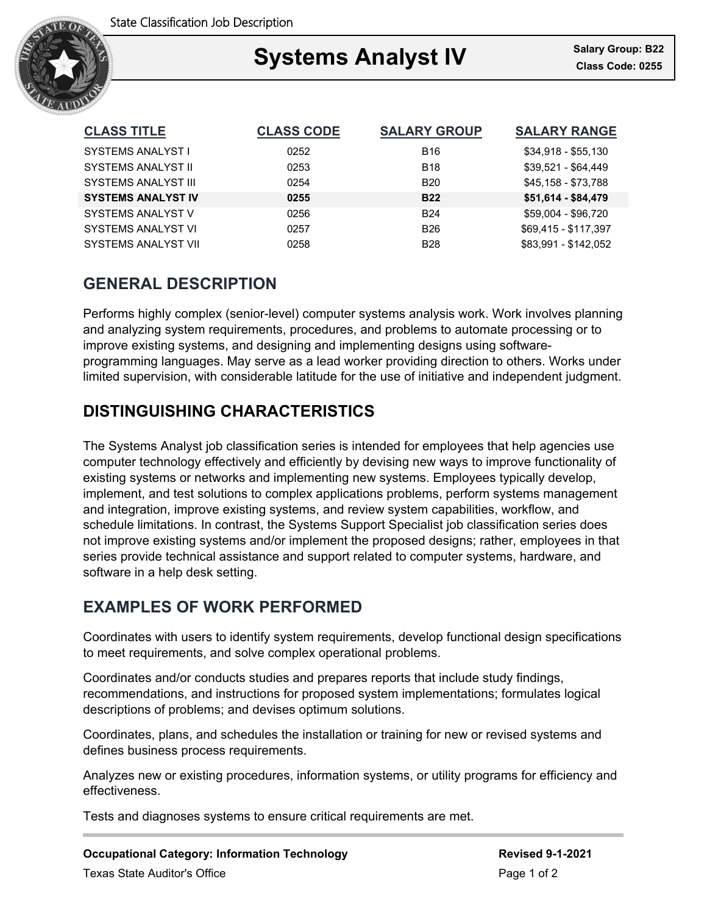

## Ξ Systems Analyst IV **Salary Group: B22**

| <b>CLASS TITLE</b>         | <b>CLASS CODE</b> | <b>SALARY GROUP</b> | <b>SALARY RANGE</b>  |
|----------------------------|-------------------|---------------------|----------------------|
| SYSTEMS ANALYST I          | 0252              | <b>B16</b>          | $$34,918 - $55,130$  |
| <b>SYSTEMS ANALYST II</b>  | 0253              | <b>B18</b>          | \$39,521 - \$64,449  |
| <b>SYSTEMS ANALYST III</b> | 0254              | <b>B20</b>          | \$45,158 - \$73,788  |
| <b>SYSTEMS ANALYST IV</b>  | 0255              | <b>B22</b>          | \$51,614 - \$84,479  |
| SYSTEMS ANALYST V          | 0256              | <b>B24</b>          | \$59,004 - \$96,720  |
| <b>SYSTEMS ANALYST VI</b>  | 0257              | <b>B26</b>          | \$69,415 - \$117,397 |
| <b>SYSTEMS ANALYST VII</b> | 0258              | <b>B28</b>          | \$83.991 - \$142.052 |

# **GENERAL DESCRIPTION**

Performs highly complex (senior-level) computer systems analysis work. Work involves planning and analyzing system requirements, procedures, and problems to automate processing or to improve existing systems, and designing and implementing designs using softwareprogramming languages. May serve as a lead worker providing direction to others. Works under limited supervision, with considerable latitude for the use of initiative and independent judgment.

# **DISTINGUISHING CHARACTERISTICS**

The Systems Analyst job classification series is intended for employees that help agencies use computer technology effectively and efficiently by devising new ways to improve functionality of existing systems or networks and implementing new systems. Employees typically develop, implement, and test solutions to complex applications problems, perform systems management and integration, improve existing systems, and review system capabilities, workflow, and schedule limitations. In contrast, the Systems Support Specialist job classification series does not improve existing systems and/or implement the proposed designs; rather, employees in that series provide technical assistance and support related to computer systems, hardware, and software in a help desk setting.

## **EXAMPLES OF WORK PERFORMED**

Coordinates with users to identify system requirements, develop functional design specifications to meet requirements, and solve complex operational problems.

Coordinates and/or conducts studies and prepares reports that include study findings, recommendations, and instructions for proposed system implementations; formulates logical descriptions of problems; and devises optimum solutions.

Coordinates, plans, and schedules the installation or training for new or revised systems and defines business process requirements.

Analyzes new or existing procedures, information systems, or utility programs for efficiency and effectiveness.

Tests and diagnoses systems to ensure critical requirements are met.

**Occupational Category: Information Technology <b>Revised 9-1-2021** Revised 9-1-2021 Texas State Auditor's Office **Page 1 of 2** and 2